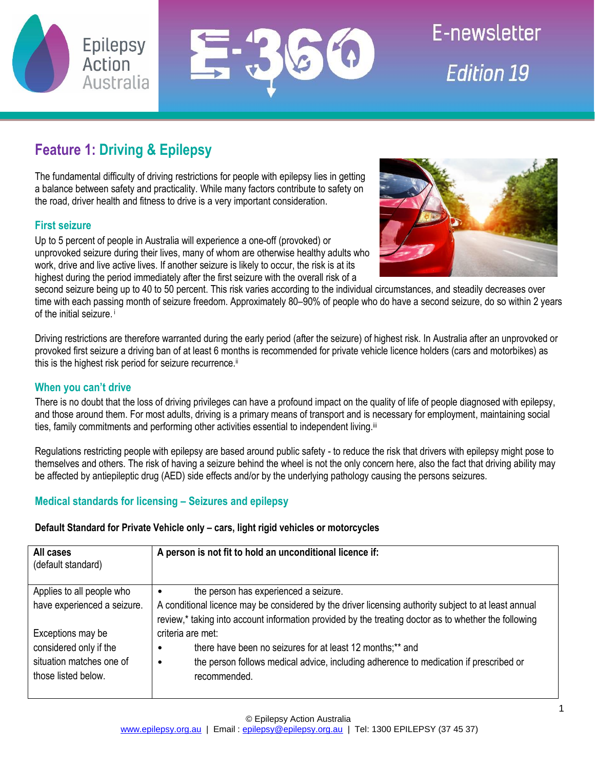



E-newsletter **Edition 19** 

# **Feature 1: Driving & Epilepsy**

The fundamental difficulty of driving restrictions for people with epilepsy lies in getting a balance between safety and practicality. While many factors contribute to safety on the road, driver health and fitness to drive is a very important consideration.

# **First seizure**

Up to 5 percent of people in Australia will experience a one-off (provoked) or unprovoked seizure during their lives, many of whom are otherwise healthy adults who work, drive and live active lives. If another seizure is likely to occur, the risk is at its highest during the period immediately after the first seizure with the overall risk of a



second seizure being up to 40 to 50 percent. This risk varies according to the individual circumstances, and steadily decreases over time with each passing month of seizure freedom. Approximately 80–90% of people who do have a second seizure, do so within 2 years of the initial seizure. i

Driving restrictions are therefore warranted during the early period (after the seizure) of highest risk. In Australia after an unprovoked or provoked first seizure a driving ban of at least 6 months is recommended for private vehicle licence holders (cars and motorbikes) as this is the highest risk period for seizure recurrence.<sup>ii</sup>

## **When you can't drive**

There is no doubt that the loss of driving privileges can have a profound impact on the quality of life of people diagnosed with epilepsy, and those around them. For most adults, driving is a primary means of transport and is necessary for employment, maintaining social ties, family commitments and performing other activities essential to independent living.<sup>iii</sup>

Regulations restricting people with epilepsy are based around public safety - to reduce the risk that drivers with epilepsy might pose to themselves and others. The risk of having a seizure behind the wheel is not the only concern here, also the fact that driving ability may be affected by antiepileptic drug (AED) side effects and/or by the underlying pathology causing the persons seizures.

# **Medical standards for licensing – Seizures and epilepsy**

## **Default Standard for Private Vehicle only – cars, light rigid vehicles or motorcycles**

| All cases<br>(default standard)                 | A person is not fit to hold an unconditional licence if:                                                                                                                                                     |
|-------------------------------------------------|--------------------------------------------------------------------------------------------------------------------------------------------------------------------------------------------------------------|
| Applies to all people who                       | the person has experienced a seizure.<br>$\bullet$                                                                                                                                                           |
| have experienced a seizure.                     | A conditional licence may be considered by the driver licensing authority subject to at least annual<br>review,* taking into account information provided by the treating doctor as to whether the following |
| Exceptions may be                               | criteria are met:                                                                                                                                                                                            |
| considered only if the                          | there have been no seizures for at least 12 months;** and<br>$\bullet$                                                                                                                                       |
| situation matches one of<br>those listed below. | the person follows medical advice, including adherence to medication if prescribed or<br>$\bullet$<br>recommended.                                                                                           |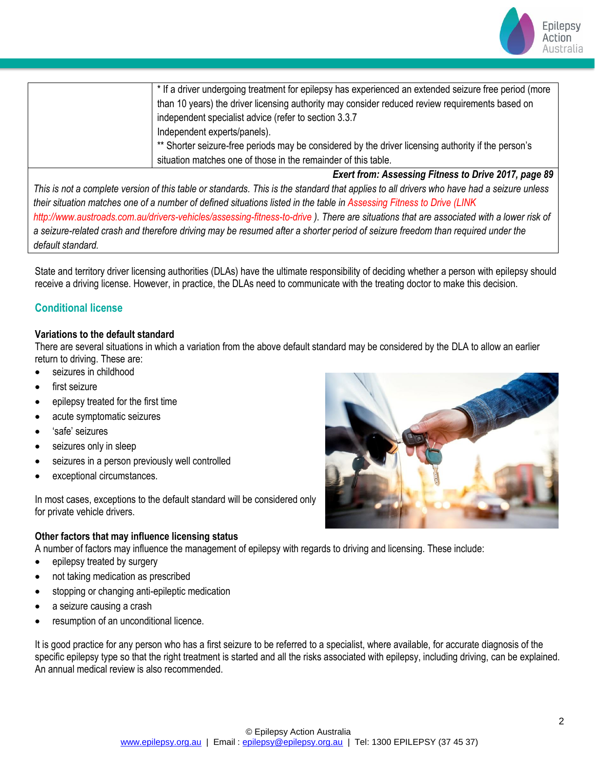

| * If a driver undergoing treatment for epilepsy has experienced an extended seizure free period (more |
|-------------------------------------------------------------------------------------------------------|
| than 10 years) the driver licensing authority may consider reduced review requirements based on       |
| independent specialist advice (refer to section 3.3.7                                                 |
| Independent experts/panels).                                                                          |
| ** Shorter seizure-free periods may be considered by the driver licensing authority if the person's   |
| situation matches one of those in the remainder of this table.                                        |
|                                                                                                       |

*Exert from: Assessing Fitness to Drive 2017, page 89* This is not a complete version of this table or standards. This is the standard that applies to all drivers who have had a seizure unless *their situation matches one of a number of defined situations listed in the table in Assessing Fitness to Drive (LINK http://www.austroads.com.au/drivers-vehicles/assessing-fitness-to-drive ). There are situations that are associated with a lower risk of a seizure-related crash and therefore driving may be resumed after a shorter period of seizure freedom than required under the default standard.*

State and territory driver licensing authorities (DLAs) have the ultimate responsibility of deciding whether a person with epilepsy should receive a driving license. However, in practice, the DLAs need to communicate with the treating doctor to make this decision.

# **Conditional license**

### **Variations to the default standard**

There are several situations in which a variation from the above default standard may be considered by the DLA to allow an earlier return to driving. These are:

- seizures in childhood
- first seizure
- epilepsy treated for the first time
- acute symptomatic seizures
- 'safe' seizures
- seizures only in sleep
- seizures in a person previously well controlled
- exceptional circumstances.

In most cases, exceptions to the default standard will be considered only for private vehicle drivers.

#### **Other factors that may influence licensing status**

A number of factors may influence the management of epilepsy with regards to driving and licensing. These include:

- epilepsy treated by surgery
- not taking medication as prescribed
- stopping or changing anti-epileptic medication
- a seizure causing a crash
- resumption of an unconditional licence.

It is good practice for any person who has a first seizure to be referred to a specialist, where available, for accurate diagnosis of the specific epilepsy type so that the right treatment is started and all the risks associated with epilepsy, including driving, can be explained. An annual medical review is also recommended.

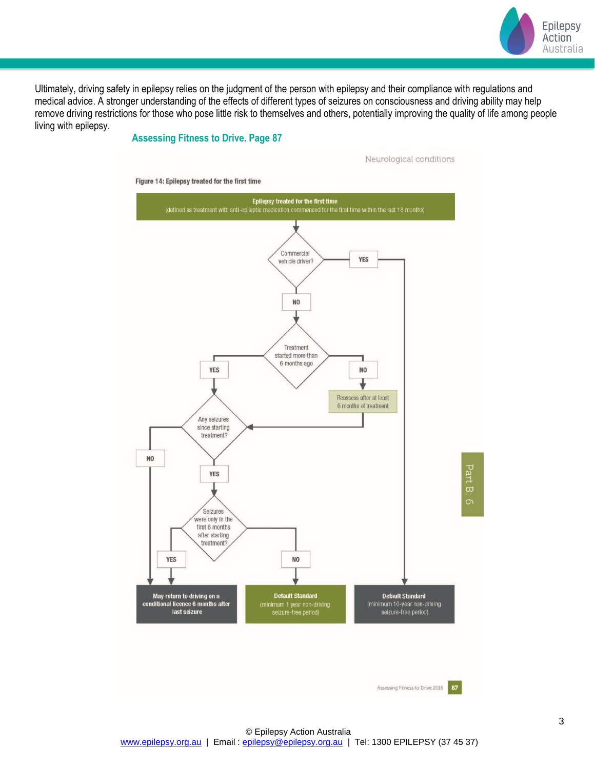

Ultimately, driving safety in epilepsy relies on the judgment of the person with epilepsy and their compliance with regulations and medical advice. A stronger understanding of the effects of different types of seizures on consciousness and driving ability may help remove driving restrictions for those who pose little risk to themselves and others, potentially improving the quality of life among people living with epilepsy.

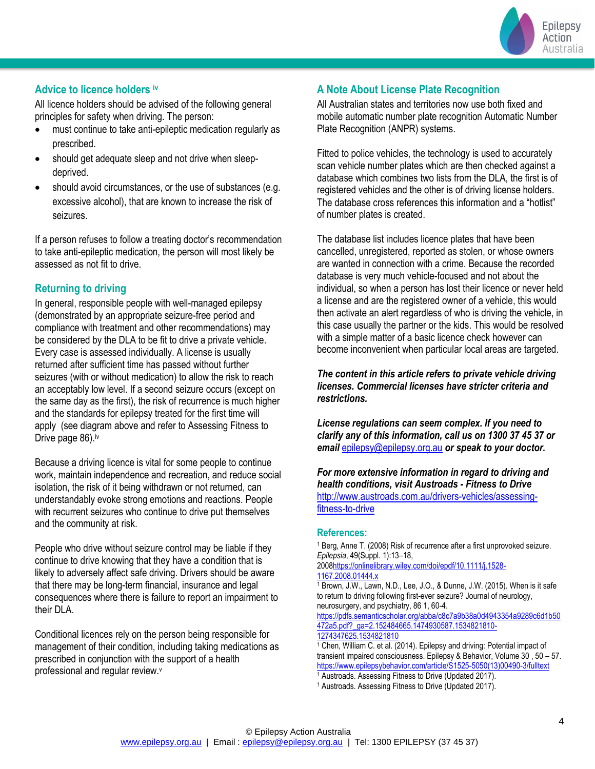

## <span id="page-3-0"></span>**Advice to licence holders iv**

All licence holders should be advised of the following general principles for safety when driving. The person:

- must continue to take anti-epileptic medication regularly as prescribed.
- should get adequate sleep and not drive when sleepdeprived.
- should avoid circumstances, or the use of substances (e.g. excessive alcohol), that are known to increase the risk of seizures.

If a person refuses to follow a treating doctor's recommendation to take anti-epileptic medication, the person will most likely be assessed as not fit to drive.

## **Returning to driving**

In general, responsible people with well-managed epilepsy (demonstrated by an appropriate seizure-free period and compliance with treatment and other recommendations) may be considered by the DLA to be fit to drive a private vehicle. Every case is assessed individually. A license is usually returned after sufficient time has passed without further seizures (with or without medication) to allow the risk to reach an acceptably low level. If a second seizure occurs (except on the same day as the first), the risk of recurrence is much higher and the standards for epilepsy treated for the first time will apply (see diagram above and refer to Assessing Fitness to Drive page 86[\).](#page-3-0)<sup>iv</sup>

Because a driving licence is vital for some people to continue work, maintain independence and recreation, and reduce social isolation, the risk of it being withdrawn or not returned, can understandably evoke strong emotions and reactions. People with recurrent seizures who continue to drive put themselves and the community at risk.

People who drive without seizure control may be liable if they continue to drive knowing that they have a condition that is likely to adversely affect safe driving. Drivers should be aware that there may be long-term financial, insurance and legal consequences where there is failure to report an impairment to their DLA.

Conditional licences rely on the person being responsible for management of their condition, including taking medications as prescribed in conjunction with the support of a health professional and regular review.<sup>v</sup>

## **A Note About License Plate Recognition**

All Australian states and territories now use both fixed and mobile automatic number plate recognition Automatic Number Plate Recognition (ANPR) systems.

Fitted to police vehicles, the technology is used to accurately scan vehicle number plates which are then checked against a database which combines two lists from the DLA, the first is of registered vehicles and the other is of driving license holders. The database cross references this information and a "hotlist" of number plates is created.

The database list includes licence plates that have been cancelled, unregistered, reported as stolen, or whose owners are wanted in connection with a crime. Because the recorded database is very much vehicle-focused and not about the individual, so when a person has lost their licence or never held a license and are the registered owner of a vehicle, this would then activate an alert regardless of who is driving the vehicle, in this case usually the partner or the kids. This would be resolved with a simple matter of a basic licence check however can become inconvenient when particular local areas are targeted.

*The content in this article refers to private vehicle driving licenses. Commercial licenses have stricter criteria and restrictions.*

*License regulations can seem complex. If you need to clarify any of this information, call us on 1300 37 45 37 or email* [epilepsy@epilepsy.org.au](mailto:epilepsy@epilepsy.org.au) *or speak to your doctor.*

*For more extensive information in regard to driving and health conditions, visit Austroads - Fitness to Drive*  [http://www.austroads.com.au/drivers-vehicles/assessing](http://www.austroads.com.au/drivers-vehicles/assessing-fitness-to-drive)[fitness-to-drive](http://www.austroads.com.au/drivers-vehicles/assessing-fitness-to-drive)

#### **References:**

<sup>1</sup> Berg, Anne T. (2008) Risk of recurrence after a first unprovoked seizure. *Epilepsia*, 49(Suppl. 1):13–18, 200[8https://onlinelibrary.wiley.com/doi/epdf/10.1111/j.1528-](https://onlinelibrary.wiley.com/doi/epdf/10.1111/j.1528-1167.2008.01444.x)

[1167.2008.01444.x](https://onlinelibrary.wiley.com/doi/epdf/10.1111/j.1528-1167.2008.01444.x) 

<sup>1</sup> Brown, J.W., Lawn, N.D., Lee, J.O., & Dunne, J.W. (2015). When is it safe to return to driving following first-ever seizure? Journal of neurology, neurosurgery, and psychiatry, 86 1, 60-4.

[https://pdfs.semanticscholar.org/abba/c8c7a9b38a0d4943354a9289c6d1b50](https://pdfs.semanticscholar.org/abba/c8c7a9b38a0d4943354a9289c6d1b50472a5.pdf?_ga=2.152484665.1474930587.1534821810-1274347625.1534821810) [472a5.pdf?\\_ga=2.152484665.1474930587.1534821810-](https://pdfs.semanticscholar.org/abba/c8c7a9b38a0d4943354a9289c6d1b50472a5.pdf?_ga=2.152484665.1474930587.1534821810-1274347625.1534821810) [1274347625.1534821810](https://pdfs.semanticscholar.org/abba/c8c7a9b38a0d4943354a9289c6d1b50472a5.pdf?_ga=2.152484665.1474930587.1534821810-1274347625.1534821810)

 $1$  Chen, William C. et al. (2014). Epilepsy and driving: Potential impact of transient impaired consciousness. Epilepsy & Behavior, Volume 30 , 50 – 57. [https://www.epilepsybehavior.com/article/S1525-5050\(13\)00490-3/fulltext](https://www.epilepsybehavior.com/article/S1525-5050(13)00490-3/fulltext)

<sup>1</sup> Austroads. Assessing Fitness to Drive (Updated 2017).

<sup>1</sup> Austroads. Assessing Fitness to Drive (Updated 2017).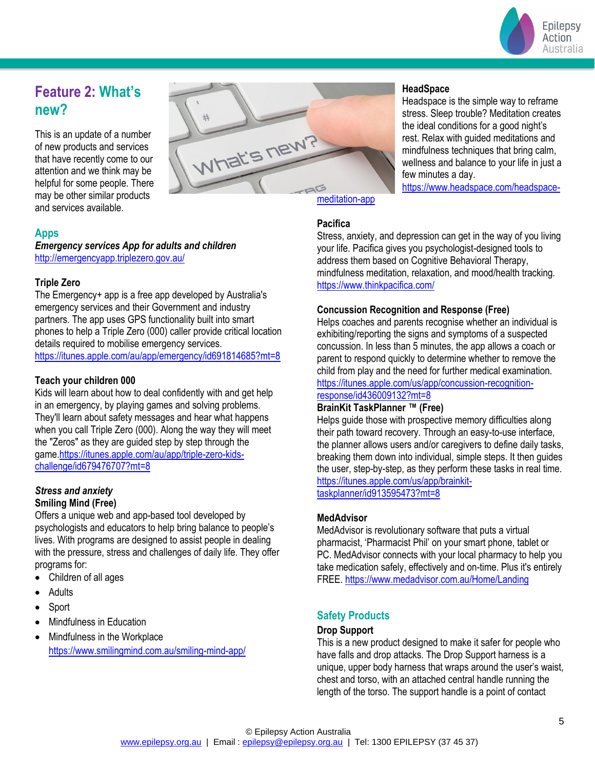

# **Feature 2: What's new?**

This is an update of a number of new products and services that have recently come to our attention and we think may be helpful for some people. There may be other similar products and services available.



## **Apps**

*Emergency services App for adults and children* <http://emergencyapp.triplezero.gov.au/>

### **Triple Zero**

The Emergency+ app is a free app developed by Australia's emergency services and their Government and industry partners. The app uses GPS functionality built into smart phones to help a Triple Zero (000) caller provide critical location details required to mobilise emergency services. <https://itunes.apple.com/au/app/emergency/id691814685?mt=8>

### **Teach your children 000**

Kids will learn about how to deal confidently with and get help in an emergency, by playing games and solving problems. They'll learn about safety messages and hear what happens when you call Triple Zero (000). Along the way they will meet the "Zeros" as they are guided step by step through the game[.https://itunes.apple.com/au/app/triple-zero-kids](https://itunes.apple.com/au/app/triple-zero-kids-challenge/id679476707?mt=8)[challenge/id679476707?mt=8](https://itunes.apple.com/au/app/triple-zero-kids-challenge/id679476707?mt=8)

#### *Stress and anxiety* **Smiling Mind (Free)**

Offers a unique web and app-based tool developed by psychologists and educators to help bring balance to people's lives. With programs are designed to assist people in dealing with the pressure, stress and challenges of daily life. They offer programs for:

- Children of all ages
- **Adults**
- Sport
- Mindfulness in Education
- Mindfulness in the Workplace <https://www.smilingmind.com.au/smiling-mind-app/>

#### **HeadSpace**

Headspace is the simple way to reframe stress. Sleep trouble? Meditation creates the ideal conditions for a good night's rest. Relax with guided meditations and mindfulness techniques that bring calm, wellness and balance to your life in just a few minutes a day.

[https://www.headspace.com/headspace-](https://www.headspace.com/headspace-meditation-app)

## **Pacifica**

Stress, anxiety, and depression can get in the way of you living your life. Pacifica gives you psychologist-designed tools to address them based on Cognitive Behavioral Therapy, mindfulness meditation, relaxation, and mood/health tracking. <https://www.thinkpacifica.com/>

### **Concussion Recognition and Response (Free)**

Helps coaches and parents recognise whether an individual is exhibiting/reporting the signs and symptoms of a suspected concussion. In less than 5 minutes, the app allows a coach or parent to respond quickly to determine whether to remove the child from play and the need for further medical examination. [https://itunes.apple.com/us/app/concussion-recognition](https://itunes.apple.com/us/app/concussion-recognition-response/id436009132?mt=8)[response/id436009132?mt=8](https://itunes.apple.com/us/app/concussion-recognition-response/id436009132?mt=8)

## **BrainKit TaskPlanner ™ (Free)**

Helps guide those with prospective memory difficulties along their path toward recovery. Through an easy-to-use interface, the planner allows users and/or caregivers to define daily tasks, breaking them down into individual, simple steps. It then guides the user, step-by-step, as they perform these tasks in real time. [https://itunes.apple.com/us/app/brainkit](https://itunes.apple.com/us/app/brainkit-taskplanner/id913595473?mt=8)[taskplanner/id913595473?mt=8](https://itunes.apple.com/us/app/brainkit-taskplanner/id913595473?mt=8)

#### **MedAdvisor**

MedAdvisor is revolutionary software that puts a virtual pharmacist, 'Pharmacist Phil' on your smart phone, tablet or PC. MedAdvisor connects with your local pharmacy to help you take medication safely, effectively and on-time. Plus it's entirely FREE. <https://www.medadvisor.com.au/Home/Landing>

## **Safety Products**

#### **Drop Support**

This is a new product designed to make it safer for people who have falls and drop attacks. The Drop Support harness is a unique, upper body harness that wraps around the user's waist, chest and torso, with an attached central handle running the length of the torso. The support handle is a point of contact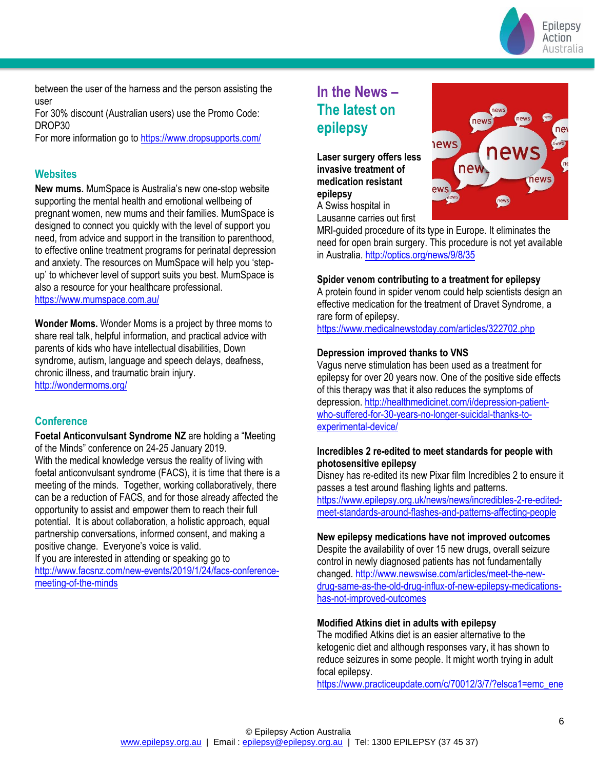

between the user of the harness and the person assisting the user

For 30% discount (Australian users) use the Promo Code: DROP30

For more information go to<https://www.dropsupports.com/>

#### **Websites**

**New mums.** MumSpace is Australia's new one-stop website supporting the mental health and emotional wellbeing of pregnant women, new mums and their families. MumSpace is designed to connect you quickly with the level of support you need, from advice and support in the transition to parenthood, to effective online treatment programs for perinatal depression and anxiety. The resources on MumSpace will help you 'stepup' to whichever level of support suits you best. MumSpace is also a resource for your healthcare professional. <https://www.mumspace.com.au/>

**Wonder Moms.** Wonder Moms is a project by three moms to share real talk, helpful information, and practical advice with parents of kids who have intellectual disabilities, Down syndrome, autism, language and speech delays, deafness, chronic illness, and traumatic brain injury. <http://wondermoms.org/>

### **Conference**

**Foetal Anticonvulsant Syndrome NZ** are holding a "Meeting of the Minds" conference on 24-25 January 2019. With the medical knowledge versus the reality of living with foetal anticonvulsant syndrome (FACS), it is time that there is a meeting of the minds. Together, working collaboratively, there can be a reduction of FACS, and for those already affected the opportunity to assist and empower them to reach their full potential. It is about collaboration, a holistic approach, equal partnership conversations, informed consent, and making a positive change. Everyone's voice is valid.

If you are interested in attending or speaking go to [http://www.facsnz.com/new-events/2019/1/24/facs-conference](http://www.facsnz.com/new-events/2019/1/24/facs-conference-meeting-of-the-minds)[meeting-of-the-minds](http://www.facsnz.com/new-events/2019/1/24/facs-conference-meeting-of-the-minds)

# **In the News – The latest on epilepsy**

**Laser surgery offers less invasive treatment of medication resistant epilepsy** A Swiss hospital in

Lausanne carries out first



MRI-guided procedure of its type in Europe. It eliminates the need for open brain surgery. This procedure is not yet available in Australia.<http://optics.org/news/9/8/35>

#### **Spider venom contributing to a treatment for epilepsy**

A protein found in spider venom could help scientists design an effective medication for the treatment of Dravet Syndrome, a rare form of epilepsy.

<https://www.medicalnewstoday.com/articles/322702.php>

#### **Depression improved thanks to VNS**

Vagus nerve stimulation has been used as a treatment for epilepsy for over 20 years now. One of the positive side effects of this therapy was that it also reduces the symptoms of depression[. http://healthmedicinet.com/i/depression-patient](http://healthmedicinet.com/i/depression-patient-who-suffered-for-30-years-no-longer-suicidal-thanks-to-experimental-device/)[who-suffered-for-30-years-no-longer-suicidal-thanks-to](http://healthmedicinet.com/i/depression-patient-who-suffered-for-30-years-no-longer-suicidal-thanks-to-experimental-device/)[experimental-device/](http://healthmedicinet.com/i/depression-patient-who-suffered-for-30-years-no-longer-suicidal-thanks-to-experimental-device/)

#### **Incredibles 2 re-edited to meet standards for people with photosensitive epilepsy**

Disney has re-edited its new Pixar film Incredibles 2 to ensure it passes a test around flashing lights and patterns.

[https://www.epilepsy.org.uk/news/news/incredibles-2-re-edited](https://www.epilepsy.org.uk/news/news/incredibles-2-re-edited-meet-standards-around-flashes-and-patterns-affecting-people)[meet-standards-around-flashes-and-patterns-affecting-people](https://www.epilepsy.org.uk/news/news/incredibles-2-re-edited-meet-standards-around-flashes-and-patterns-affecting-people)

#### **New epilepsy medications have not improved outcomes**

Despite the availability of over 15 new drugs, overall seizure control in newly diagnosed patients has not fundamentally changed. [http://www.newswise.com/articles/meet-the-new](http://www.newswise.com/articles/meet-the-new-drug-same-as-the-old-drug-influx-of-new-epilepsy-medications-has-not-improved-outcomes)[drug-same-as-the-old-drug-influx-of-new-epilepsy-medications](http://www.newswise.com/articles/meet-the-new-drug-same-as-the-old-drug-influx-of-new-epilepsy-medications-has-not-improved-outcomes)[has-not-improved-outcomes](http://www.newswise.com/articles/meet-the-new-drug-same-as-the-old-drug-influx-of-new-epilepsy-medications-has-not-improved-outcomes)

#### **Modified Atkins diet in adults with epilepsy**

The modified Atkins diet is an easier alternative to the ketogenic diet and although responses vary, it has shown to reduce seizures in some people. It might worth trying in adult focal epilepsy.

[https://www.practiceupdate.com/c/70012/3/7/?elsca1=emc\\_ene](https://www.practiceupdate.com/c/70012/3/7/?elsca1=emc_enews_top-10&elsca2=email&elsca3=practiceupdate_neuro&elsca4=neurology&elsca5=newsletter&rid=MTM1NzAyODc4MzM2S0&lid=10332481)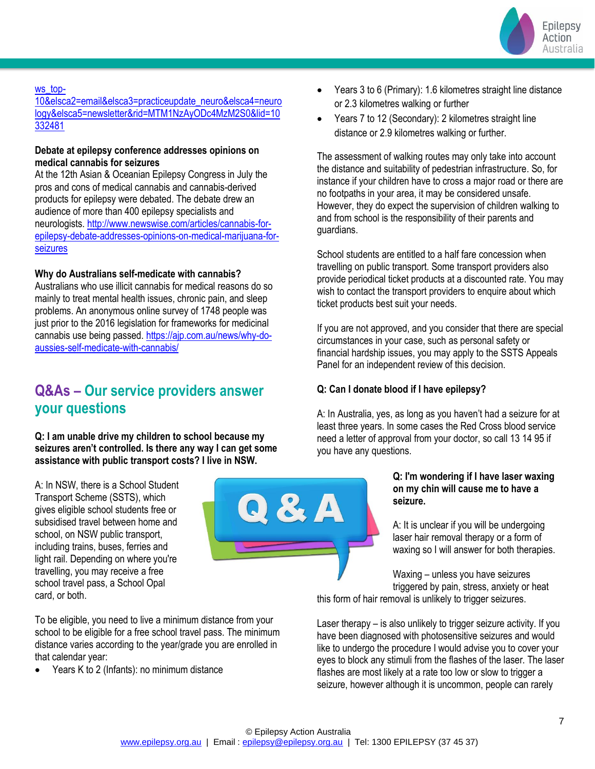

#### [ws\\_top-](https://www.practiceupdate.com/c/70012/3/7/?elsca1=emc_enews_top-10&elsca2=email&elsca3=practiceupdate_neuro&elsca4=neurology&elsca5=newsletter&rid=MTM1NzAyODc4MzM2S0&lid=10332481)

[10&elsca2=email&elsca3=practiceupdate\\_neuro&elsca4=neuro](https://www.practiceupdate.com/c/70012/3/7/?elsca1=emc_enews_top-10&elsca2=email&elsca3=practiceupdate_neuro&elsca4=neurology&elsca5=newsletter&rid=MTM1NzAyODc4MzM2S0&lid=10332481) [logy&elsca5=newsletter&rid=MTM1NzAyODc4MzM2S0&lid=10](https://www.practiceupdate.com/c/70012/3/7/?elsca1=emc_enews_top-10&elsca2=email&elsca3=practiceupdate_neuro&elsca4=neurology&elsca5=newsletter&rid=MTM1NzAyODc4MzM2S0&lid=10332481) [332481](https://www.practiceupdate.com/c/70012/3/7/?elsca1=emc_enews_top-10&elsca2=email&elsca3=practiceupdate_neuro&elsca4=neurology&elsca5=newsletter&rid=MTM1NzAyODc4MzM2S0&lid=10332481)

#### **Debate at epilepsy conference addresses opinions on medical cannabis for seizures**

At the 12th Asian & Oceanian Epilepsy Congress in July the pros and cons of medical cannabis and cannabis-derived products for epilepsy were debated. The debate drew an audience of more than 400 epilepsy specialists and neurologists. [http://www.newswise.com/articles/cannabis-for](http://www.newswise.com/articles/cannabis-for-epilepsy-debate-addresses-opinions-on-medical-marijuana-for-seizures)[epilepsy-debate-addresses-opinions-on-medical-marijuana-for](http://www.newswise.com/articles/cannabis-for-epilepsy-debate-addresses-opinions-on-medical-marijuana-for-seizures)[seizures](http://www.newswise.com/articles/cannabis-for-epilepsy-debate-addresses-opinions-on-medical-marijuana-for-seizures)

#### **Why do Australians self-medicate with cannabis?**

Australians who use illicit cannabis for medical reasons do so mainly to treat mental health issues, chronic pain, and sleep problems. An anonymous online survey of 1748 people was just prior to the 2016 legislation for frameworks for medicinal cannabis use being passed. [https://ajp.com.au/news/why-do](https://ajp.com.au/news/why-do-aussies-self-medicate-with-cannabis/)[aussies-self-medicate-with-cannabis/](https://ajp.com.au/news/why-do-aussies-self-medicate-with-cannabis/)

# **Q&As – Our service providers answer your questions**

**Q: I am unable drive my children to school because my seizures aren't controlled. Is there any way I can get some assistance with public transport costs? I live in NSW.**

A: In NSW, there is a School Student Transport Scheme (SSTS), which gives eligible school students free or subsidised travel between home and school, on NSW public transport, including trains, buses, ferries and light rail. Depending on where you're travelling, you may receive a free school travel pass, a School Opal card, or both.



- Years 3 to 6 (Primary): 1.6 kilometres straight line distance or 2.3 kilometres walking or further
- Years 7 to 12 (Secondary): 2 kilometres straight line distance or 2.9 kilometres walking or further.

The assessment of walking routes may only take into account the distance and suitability of pedestrian infrastructure. So, for instance if your children have to cross a major road or there are no footpaths in your area, it may be considered unsafe. However, they do expect the supervision of children walking to and from school is the responsibility of their parents and guardians.

School students are entitled to a half fare concession when travelling on public transport. Some transport providers also provide periodical ticket products at a discounted rate. You may wish to contact the transport providers to enquire about which ticket products best suit your needs.

If you are not approved, and you consider that there are special circumstances in your case, such as personal safety or financial hardship issues, you may apply to the SSTS Appeals Panel for an independent review of this decision.

#### **Q: Can I donate blood if I have epilepsy?**

A: In Australia, yes, as long as you haven't had a seizure for at least three years. In some cases the Red Cross blood service need a letter of approval from your doctor, so call 13 14 95 if you have any questions.

#### **Q: I'm wondering if I have laser waxing on my chin will cause me to have a seizure.**

A: It is unclear if you will be undergoing laser hair removal therapy or a form of waxing so I will answer for both therapies.

Waxing – unless you have seizures triggered by pain, stress, anxiety or heat

this form of hair removal is unlikely to trigger seizures.

Laser therapy – is also unlikely to trigger seizure activity. If you have been diagnosed with photosensitive seizures and would like to undergo the procedure I would advise you to cover your eyes to block any stimuli from the flashes of the laser. The laser flashes are most likely at a rate too low or slow to trigger a seizure, however although it is uncommon, people can rarely

To be eligible, you need to live a minimum distance from your school to be eligible for a free school travel pass. The minimum distance varies according to the year/grade you are enrolled in that calendar year:

• Years K to 2 (Infants): no minimum distance